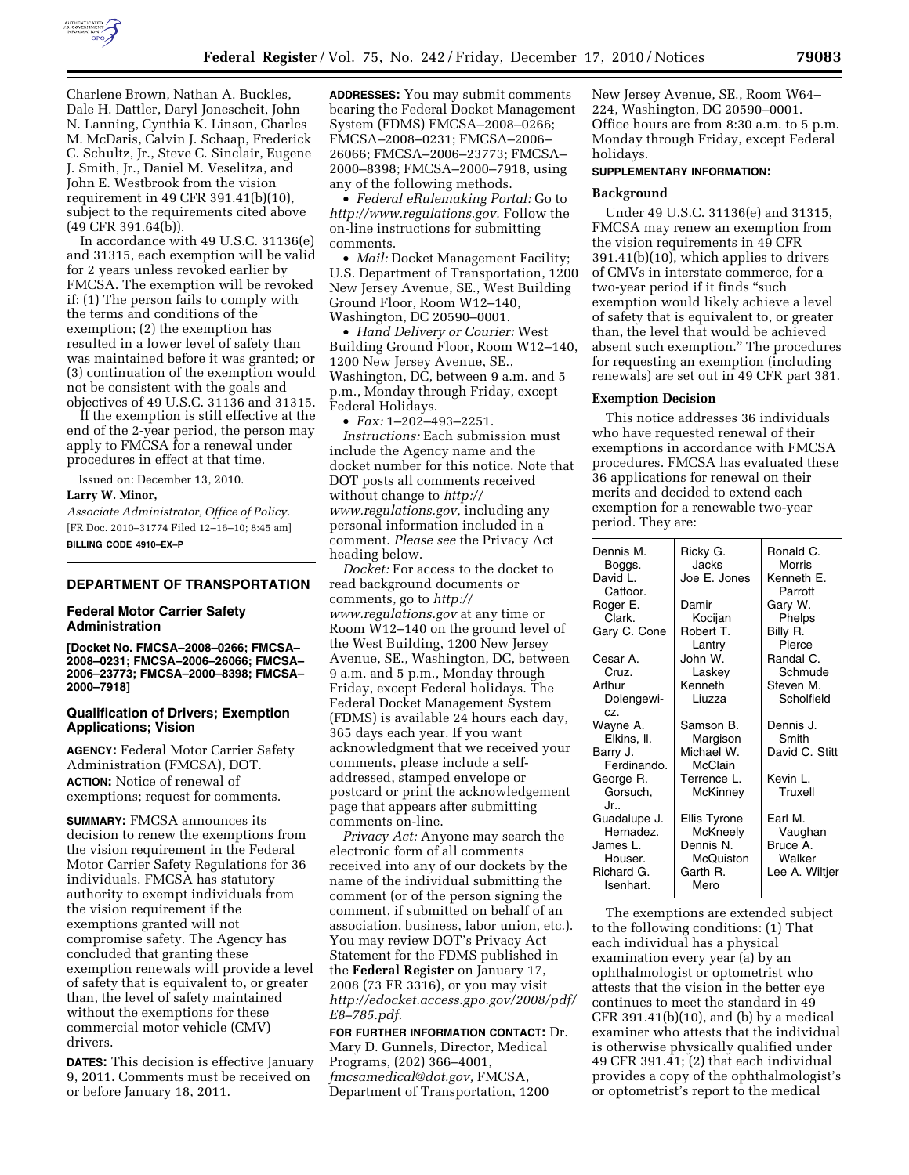

Charlene Brown, Nathan A. Buckles, Dale H. Dattler, Daryl Jonescheit, John N. Lanning, Cynthia K. Linson, Charles M. McDaris, Calvin J. Schaap, Frederick C. Schultz, Jr., Steve C. Sinclair, Eugene J. Smith, Jr., Daniel M. Veselitza, and John E. Westbrook from the vision requirement in 49 CFR 391.41(b)(10), subject to the requirements cited above (49 CFR 391.64(b)).

In accordance with 49 U.S.C. 31136(e) and 31315, each exemption will be valid for 2 years unless revoked earlier by FMCSA. The exemption will be revoked if: (1) The person fails to comply with the terms and conditions of the exemption; (2) the exemption has resulted in a lower level of safety than was maintained before it was granted; or (3) continuation of the exemption would not be consistent with the goals and objectives of 49 U.S.C. 31136 and 31315.

If the exemption is still effective at the end of the 2-year period, the person may apply to FMCSA for a renewal under procedures in effect at that time.

Issued on: December 13, 2010.

### **Larry W. Minor,**

*Associate Administrator, Office of Policy.*  [FR Doc. 2010–31774 Filed 12–16–10; 8:45 am] **BILLING CODE 4910–EX–P** 

# **DEPARTMENT OF TRANSPORTATION**

### **Federal Motor Carrier Safety Administration**

**[Docket No. FMCSA–2008–0266; FMCSA– 2008–0231; FMCSA–2006–26066; FMCSA– 2006–23773; FMCSA–2000–8398; FMCSA– 2000–7918]** 

### **Qualification of Drivers; Exemption Applications; Vision**

**AGENCY:** Federal Motor Carrier Safety Administration (FMCSA), DOT. **ACTION:** Notice of renewal of exemptions; request for comments.

**SUMMARY:** FMCSA announces its decision to renew the exemptions from the vision requirement in the Federal Motor Carrier Safety Regulations for 36 individuals. FMCSA has statutory authority to exempt individuals from the vision requirement if the exemptions granted will not compromise safety. The Agency has concluded that granting these exemption renewals will provide a level of safety that is equivalent to, or greater than, the level of safety maintained without the exemptions for these commercial motor vehicle (CMV) drivers.

**DATES:** This decision is effective January 9, 2011. Comments must be received on or before January 18, 2011.

**ADDRESSES:** You may submit comments bearing the Federal Docket Management System (FDMS) FMCSA–2008–0266; FMCSA–2008–0231; FMCSA–2006– 26066; FMCSA–2006–23773; FMCSA– 2000–8398; FMCSA–2000–7918, using any of the following methods.

• *Federal eRulemaking Portal:* Go to *[http://www.regulations.gov.](http://www.regulations.gov)* Follow the on-line instructions for submitting comments.

• *Mail:* Docket Management Facility; U.S. Department of Transportation, 1200 New Jersey Avenue, SE., West Building Ground Floor, Room W12–140, Washington, DC 20590–0001.

• *Hand Delivery or Courier:* West Building Ground Floor, Room W12–140, 1200 New Jersey Avenue, SE., Washington, DC, between 9 a.m. and 5 p.m., Monday through Friday, except Federal Holidays.

• *Fax:* 1–202–493–2251. *Instructions:* Each submission must include the Agency name and the docket number for this notice. Note that DOT posts all comments received without change to *[http://](http://www.regulations.gov) [www.regulations.gov,](http://www.regulations.gov)* including any personal information included in a comment. *Please see* the Privacy Act heading below.

*Docket:* For access to the docket to read background documents or comments, go to *[http://](http://www.regulations.gov) [www.regulations.gov](http://www.regulations.gov)* at any time or Room W12–140 on the ground level of the West Building, 1200 New Jersey Avenue, SE., Washington, DC, between 9 a.m. and 5 p.m., Monday through Friday, except Federal holidays. The Federal Docket Management System (FDMS) is available 24 hours each day, 365 days each year. If you want acknowledgment that we received your comments, please include a selfaddressed, stamped envelope or postcard or print the acknowledgement page that appears after submitting comments on-line.

*Privacy Act:* Anyone may search the electronic form of all comments received into any of our dockets by the name of the individual submitting the comment (or of the person signing the comment, if submitted on behalf of an association, business, labor union, etc.). You may review DOT's Privacy Act Statement for the FDMS published in the **Federal Register** on January 17, 2008 (73 FR 3316), or you may visit *[http://edocket.access.gpo.gov/2008/pdf/](http://edocket.access.gpo.gov/2008/pdf/E8-785.pdf) [E8–785.pdf.](http://edocket.access.gpo.gov/2008/pdf/E8-785.pdf)* 

**FOR FURTHER INFORMATION CONTACT:** Dr. Mary D. Gunnels, Director, Medical Programs, (202) 366–4001, *[fmcsamedical@dot.gov,](mailto:fmcsamedical@dot.gov)* FMCSA, Department of Transportation, 1200

New Jersey Avenue, SE., Room W64– 224, Washington, DC 20590–0001. Office hours are from 8:30 a.m. to 5 p.m. Monday through Friday, except Federal holidays.

#### **SUPPLEMENTARY INFORMATION:**

### **Background**

Under 49 U.S.C. 31136(e) and 31315, FMCSA may renew an exemption from the vision requirements in 49 CFR 391.41(b)(10), which applies to drivers of CMVs in interstate commerce, for a two-year period if it finds ''such exemption would likely achieve a level of safety that is equivalent to, or greater than, the level that would be achieved absent such exemption.'' The procedures for requesting an exemption (including renewals) are set out in 49 CFR part 381.

### **Exemption Decision**

This notice addresses 36 individuals who have requested renewal of their exemptions in accordance with FMCSA procedures. FMCSA has evaluated these 36 applications for renewal on their merits and decided to extend each exemption for a renewable two-year period. They are:

| Dennis M.<br>Boggs.<br>David L.<br>Cattoor. | Ricky G.<br><b>Jacks</b><br>Joe E. Jones | Ronald C.<br>Morris<br>Kenneth E.<br>Parrott |
|---------------------------------------------|------------------------------------------|----------------------------------------------|
| Roger E.                                    | Damir                                    | Gary W.                                      |
| Clark.                                      | Kocijan                                  | Phelps                                       |
| Gary C. Cone                                | Robert T.                                | Billy R.                                     |
|                                             | Lantry                                   | Pierce                                       |
| Cesar A.                                    | John W.                                  | Randal C.                                    |
| Cruz.                                       | Laskey                                   | Schmude                                      |
| Arthur                                      | Kenneth                                  | Steven M.                                    |
| Dolengewi-                                  | Liuzza                                   | Scholfield                                   |
| CZ.                                         |                                          |                                              |
| Wayne A.                                    | Samson B.                                | Dennis J.                                    |
| Elkins, II.                                 | Margison                                 | Smith                                        |
| Barry J.                                    | Michael W.                               | David C. Stitt                               |
| Ferdinando.                                 | <b>McClain</b>                           |                                              |
| George R.                                   | Terrence L.                              | Kevin I .                                    |
| Gorsuch,                                    | McKinney                                 | Truxell                                      |
| .Jr. .                                      |                                          |                                              |
| Guadalupe J.                                | Ellis Tyrone                             | Earl M.                                      |
| Hernadez.                                   | McKneely                                 | Vaughan                                      |
| James L.                                    | Dennis N.                                | Bruce A.                                     |
| Houser.                                     | McQuiston                                | Walker                                       |
| Richard G.                                  | Garth R.                                 | Lee A. Wiltjer                               |
| Isenhart.                                   | Mero                                     |                                              |

The exemptions are extended subject to the following conditions: (1) That each individual has a physical examination every year (a) by an ophthalmologist or optometrist who attests that the vision in the better eye continues to meet the standard in 49 CFR 391.41(b)(10), and (b) by a medical examiner who attests that the individual is otherwise physically qualified under 49 CFR 391.41; (2) that each individual provides a copy of the ophthalmologist's or optometrist's report to the medical